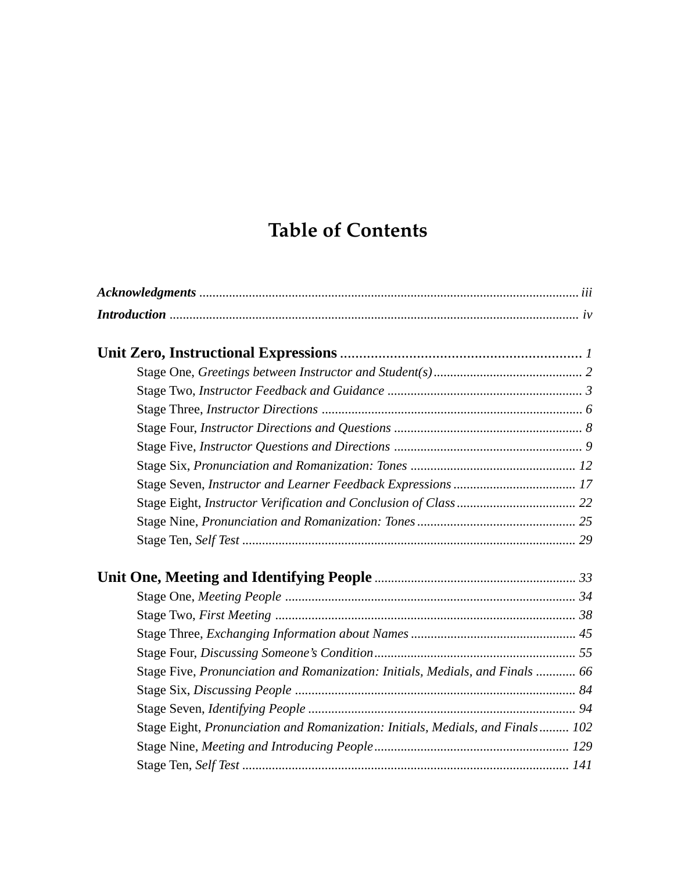## **Table of Contents**

| Stage Five, Pronunciation and Romanization: Initials, Medials, and Finals  66  |  |
|--------------------------------------------------------------------------------|--|
|                                                                                |  |
|                                                                                |  |
| Stage Eight, Pronunciation and Romanization: Initials, Medials, and Finals 102 |  |
|                                                                                |  |
|                                                                                |  |